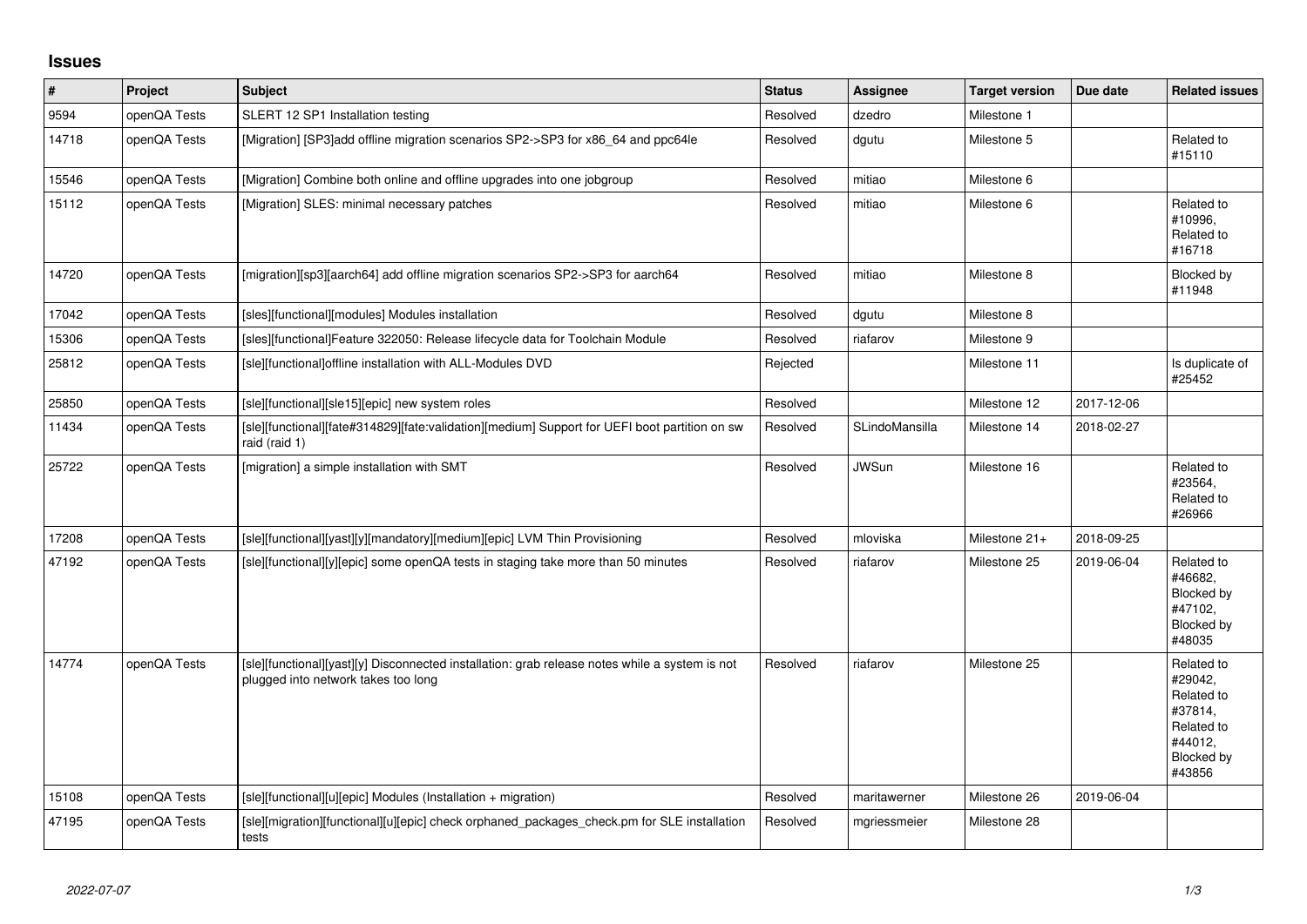## **Issues**

| $\pmb{\#}$ | Project      | <b>Subject</b>                                                                                                                        | <b>Status</b> | <b>Assignee</b> | <b>Target version</b> | Due date   | <b>Related issues</b>                                                                           |
|------------|--------------|---------------------------------------------------------------------------------------------------------------------------------------|---------------|-----------------|-----------------------|------------|-------------------------------------------------------------------------------------------------|
| 9594       | openQA Tests | SLERT 12 SP1 Installation testing                                                                                                     | Resolved      | dzedro          | Milestone 1           |            |                                                                                                 |
| 14718      | openQA Tests | [Migration] [SP3]add offline migration scenarios SP2->SP3 for x86_64 and ppc64le                                                      | Resolved      | dgutu           | Milestone 5           |            | Related to<br>#15110                                                                            |
| 15546      | openQA Tests | [Migration] Combine both online and offline upgrades into one jobgroup                                                                | Resolved      | mitiao          | Milestone 6           |            |                                                                                                 |
| 15112      | openQA Tests | [Migration] SLES: minimal necessary patches                                                                                           | Resolved      | mitiao          | Milestone 6           |            | Related to<br>#10996.<br>Related to<br>#16718                                                   |
| 14720      | openQA Tests | [migration][sp3][aarch64] add offline migration scenarios SP2->SP3 for aarch64                                                        | Resolved      | mitiao          | Milestone 8           |            | Blocked by<br>#11948                                                                            |
| 17042      | openQA Tests | [sles][functional][modules] Modules installation                                                                                      | Resolved      | dgutu           | Milestone 8           |            |                                                                                                 |
| 15306      | openQA Tests | [sles][functional]Feature 322050: Release lifecycle data for Toolchain Module                                                         | Resolved      | riafarov        | Milestone 9           |            |                                                                                                 |
| 25812      | openQA Tests | [sle][functional]offline installation with ALL-Modules DVD                                                                            | Rejected      |                 | Milestone 11          |            | Is duplicate of<br>#25452                                                                       |
| 25850      | openQA Tests | [sle][functional][sle15][epic] new system roles                                                                                       | Resolved      |                 | Milestone 12          | 2017-12-06 |                                                                                                 |
| 11434      | openQA Tests | [sle][functional][fate#314829][fate:validation][medium] Support for UEFI boot partition on sw<br>raid (raid 1)                        | Resolved      | SLindoMansilla  | Milestone 14          | 2018-02-27 |                                                                                                 |
| 25722      | openQA Tests | [migration] a simple installation with SMT                                                                                            | Resolved      | <b>JWSun</b>    | Milestone 16          |            | Related to<br>#23564,<br>Related to<br>#26966                                                   |
| 17208      | openQA Tests | [sle][functional][yast][y][mandatory][medium][epic] LVM Thin Provisioning                                                             | Resolved      | mloviska        | Milestone 21+         | 2018-09-25 |                                                                                                 |
| 47192      | openQA Tests | [sle][functional][y][epic] some openQA tests in staging take more than 50 minutes                                                     | Resolved      | riafarov        | Milestone 25          | 2019-06-04 | Related to<br>#46682,<br>Blocked by<br>#47102.<br>Blocked by<br>#48035                          |
| 14774      | openQA Tests | [sle][functional][yast][y] Disconnected installation: grab release notes while a system is not<br>plugged into network takes too long | Resolved      | riafarov        | Milestone 25          |            | Related to<br>#29042.<br>Related to<br>#37814,<br>Related to<br>#44012,<br>Blocked by<br>#43856 |
| 15108      | openQA Tests | [sle][functional][u][epic] Modules (Installation + migration)                                                                         | Resolved      | maritawerner    | Milestone 26          | 2019-06-04 |                                                                                                 |
| 47195      | openQA Tests | [sle][migration][functional][u][epic] check orphaned_packages_check.pm for SLE installation<br>tests                                  | Resolved      | mgriessmeier    | Milestone 28          |            |                                                                                                 |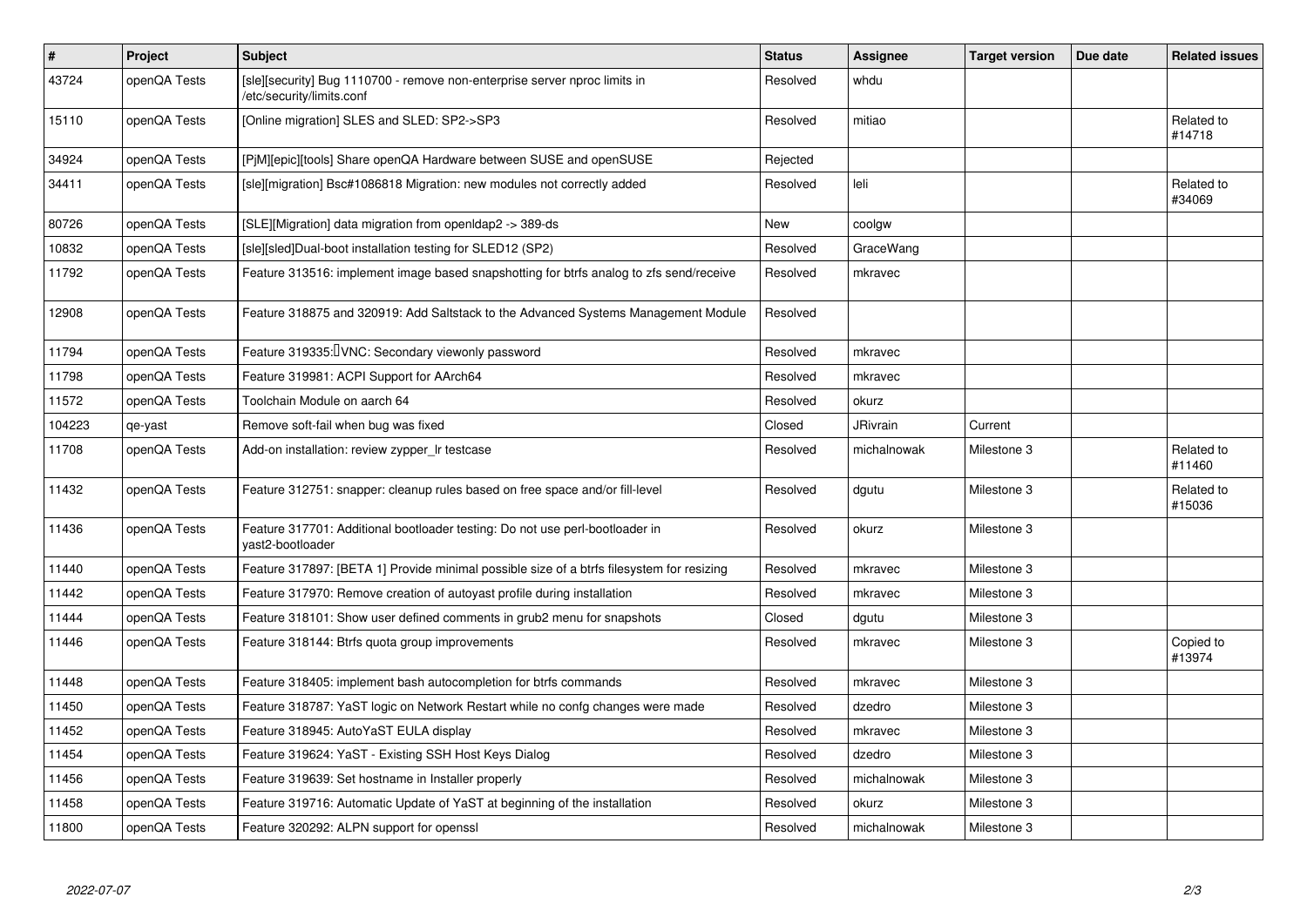| $\sharp$ | Project      | Subject                                                                                                 | <b>Status</b> | Assignee        | <b>Target version</b> | Due date | <b>Related issues</b> |
|----------|--------------|---------------------------------------------------------------------------------------------------------|---------------|-----------------|-----------------------|----------|-----------------------|
| 43724    | openQA Tests | [sle][security] Bug 1110700 - remove non-enterprise server nproc limits in<br>/etc/security/limits.conf | Resolved      | whdu            |                       |          |                       |
| 15110    | openQA Tests | [Online migration] SLES and SLED: SP2->SP3                                                              | Resolved      | mitiao          |                       |          | Related to<br>#14718  |
| 34924    | openQA Tests | [P]M][epic][tools] Share openQA Hardware between SUSE and openSUSE                                      | Rejected      |                 |                       |          |                       |
| 34411    | openQA Tests | [sle][migration] Bsc#1086818 Migration: new modules not correctly added                                 | Resolved      | leli            |                       |          | Related to<br>#34069  |
| 80726    | openQA Tests | [SLE][Migration] data migration from openIdap2 -> 389-ds                                                | New           | coolgw          |                       |          |                       |
| 10832    | openQA Tests | [sle][sled]Dual-boot installation testing for SLED12 (SP2)                                              | Resolved      | GraceWang       |                       |          |                       |
| 11792    | openQA Tests | Feature 313516: implement image based snapshotting for btrfs analog to zfs send/receive                 | Resolved      | mkravec         |                       |          |                       |
| 12908    | openQA Tests | Feature 318875 and 320919: Add Saltstack to the Advanced Systems Management Module                      | Resolved      |                 |                       |          |                       |
| 11794    | openQA Tests | Feature 319335: VNC: Secondary viewonly password                                                        | Resolved      | mkravec         |                       |          |                       |
| 11798    | openQA Tests | Feature 319981: ACPI Support for AArch64                                                                | Resolved      | mkravec         |                       |          |                       |
| 11572    | openQA Tests | Toolchain Module on aarch 64                                                                            | Resolved      | okurz           |                       |          |                       |
| 104223   | qe-yast      | Remove soft-fail when bug was fixed                                                                     | Closed        | <b>JRivrain</b> | Current               |          |                       |
| 11708    | openQA Tests | Add-on installation: review zypper Ir testcase                                                          | Resolved      | michalnowak     | Milestone 3           |          | Related to<br>#11460  |
| 11432    | openQA Tests | Feature 312751: snapper: cleanup rules based on free space and/or fill-level                            | Resolved      | dgutu           | Milestone 3           |          | Related to<br>#15036  |
| 11436    | openQA Tests | Feature 317701: Additional bootloader testing: Do not use perl-bootloader in<br>vast2-bootloader        | Resolved      | okurz           | Milestone 3           |          |                       |
| 11440    | openQA Tests | Feature 317897: [BETA 1] Provide minimal possible size of a btrfs filesystem for resizing               | Resolved      | mkravec         | Milestone 3           |          |                       |
| 11442    | openQA Tests | Feature 317970: Remove creation of autoyast profile during installation                                 | Resolved      | mkravec         | Milestone 3           |          |                       |
| 11444    | openQA Tests | Feature 318101: Show user defined comments in grub2 menu for snapshots                                  | Closed        | dgutu           | Milestone 3           |          |                       |
| 11446    | openQA Tests | Feature 318144: Btrfs quota group improvements                                                          | Resolved      | mkravec         | Milestone 3           |          | Copied to<br>#13974   |
| 11448    | openQA Tests | Feature 318405: implement bash autocompletion for btrfs commands                                        | Resolved      | mkravec         | Milestone 3           |          |                       |
| 11450    | openQA Tests | Feature 318787: YaST logic on Network Restart while no confg changes were made                          | Resolved      | dzedro          | Milestone 3           |          |                       |
| 11452    | openQA Tests | Feature 318945: AutoYaST EULA display                                                                   | Resolved      | mkravec         | Milestone 3           |          |                       |
| 11454    | openQA Tests | Feature 319624: YaST - Existing SSH Host Keys Dialog                                                    | Resolved      | dzedro          | Milestone 3           |          |                       |
| 11456    | openQA Tests | Feature 319639: Set hostname in Installer properly                                                      | Resolved      | michalnowak     | Milestone 3           |          |                       |
| 11458    | openQA Tests | Feature 319716: Automatic Update of YaST at beginning of the installation                               | Resolved      | okurz           | Milestone 3           |          |                       |
| 11800    | openQA Tests | Feature 320292: ALPN support for openssl                                                                | Resolved      | michalnowak     | Milestone 3           |          |                       |